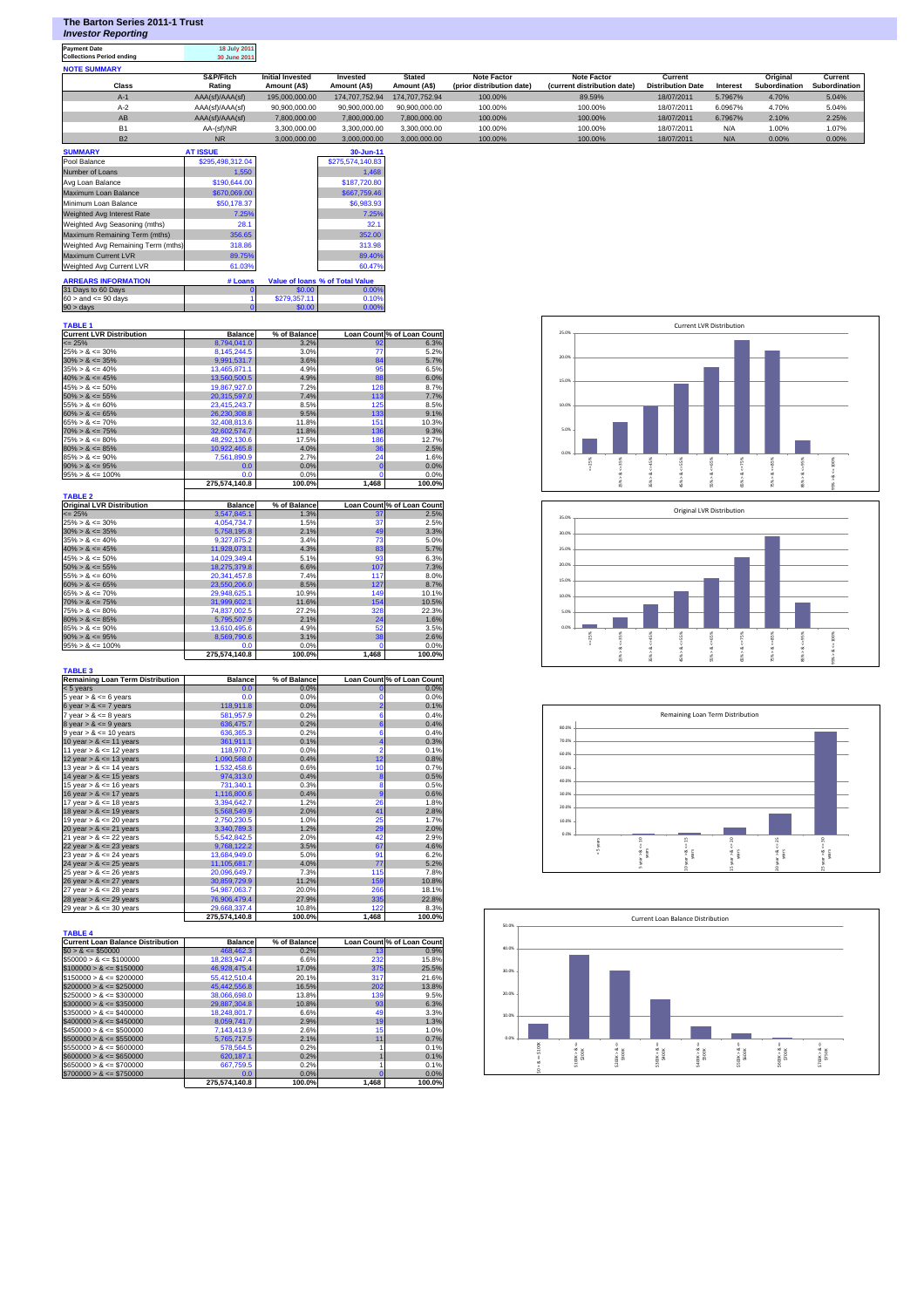| The Barton Series 2011-1 Trust |  |  |
|--------------------------------|--|--|
|                                |  |  |

*Investor Reporting*

**Payment Date 18 July 2011 Collections Period ending 30 June 2011**

| <b>NOTE SUMMARY</b> |                 |                         |                |                |                           |                             |                          |          |               |               |
|---------------------|-----------------|-------------------------|----------------|----------------|---------------------------|-----------------------------|--------------------------|----------|---------------|---------------|
|                     | S&P/Fitch       | <b>Initial Invested</b> | Invested       | <b>Stated</b>  | Note Factor               | <b>Note Factor</b>          | Current                  |          | Original      | Current       |
| Class               | Rating          | Amount (A\$)            | Amount (A\$)   | Amount (A\$)   | (prior distribution date) | (current distribution date) | <b>Distribution Date</b> | Interest | Subordination | Subordination |
| $A-1$               | AAA(sf)/AAA(sf) | 195,000,000,00          | 174,707,752.94 | 174.707.752.94 | 100.00%                   | 89.59%                      | 18/07/2011               | 5.7967%  | 4.70%         | 5.04%         |
| $A-2$               | AAA(sf)/AAA(sf) | 90.900.000.00           | 90.900.000.00  | 90.900.000.00  | 100.00%                   | 100.00%                     | 18/07/2011               | 6.0967%  | 4.70%         | 5.04%         |
| AB                  | AAA(sf)/AAA(sf) | 7,800,000.00            | 7.800.000.00   | 7.800.000.00   | 100.00%                   | 100.00%                     | 18/07/2011               | 6.7967%  | 2.10%         | 2.25%         |
| <b>B1</b>           | AA-(sf)/NR      | 3.300.000.00            | 3.300.000.00   | 3.300.000.00   | 100.00%                   | 100.00%                     | 18/07/2011               | N/A      | 1.00%         | 1.07%         |
| <b>B2</b>           | <b>NR</b>       | 3.000.000.00            | 3.000.000.00   | 3.000.000.00   | 100.00%                   | 100.00%                     | 18/07/2011               | N/A      | 0.00%         | 0.00%         |

| <b>SUMMARY</b>                     | <b>AT ISSUE</b>  |              | 30-Jun-11                              |
|------------------------------------|------------------|--------------|----------------------------------------|
| Pool Balance                       | \$295,498,312.04 |              | \$275,574,140.83                       |
| Number of Loans                    | 1.550            |              | 1.468                                  |
| Avg Loan Balance                   | \$190,644,00     |              | \$187,720,80                           |
| Maximum Loan Balance               | \$670,069.00     |              | \$667,759.46                           |
| Minimum Loan Balance               | \$50,178.37      |              | \$6,983.93                             |
| Weighted Avg Interest Rate         | 7.25%            |              | 7.25%                                  |
| Weighted Avg Seasoning (mths)      | 28.1             |              | 32.1                                   |
| Maximum Remaining Term (mths)      | 356.65           |              | 352.00                                 |
| Weighted Avg Remaining Term (mths) | 318.86           |              | 313.98                                 |
| Maximum Current LVR                | 89.75%           |              | 89.40%                                 |
| Weighted Avg Current LVR           | 61.03%           |              | 60.47%                                 |
| <b>ARREARS INFORMATION</b>         | # Loans          |              | <b>Value of loans % of Total Value</b> |
| 31 Days to 60 Days                 |                  | \$0.00       | 0.00%                                  |
| $60 >$ and $\leq 90$ days          |                  | \$279,357.11 | 0.10%                                  |
| $90 > \text{days}$                 |                  | \$0.00       | 0.00%                                  |

## **TABLE 1**

| <b>Current LVR Distribution</b>  | <b>Balance</b> | % of Balance |          | Loan Count % of Loan Count |
|----------------------------------|----------------|--------------|----------|----------------------------|
| $\leq$ 25%                       | 8,794,041.0    | 3.2%         | 92       | 6.3%                       |
| $25\% > 8 \le 30\%$              | 8,145,244.5    | 3.0%         | 77       | 5.2%                       |
| $30\% > 8 \le 35\%$              | 9,991,531.7    | 3.6%         | 84       | 5.7%                       |
| $35\% > 8 \le 40\%$              | 13,465,871.1   | 4.9%         | 95       | 6.5%                       |
| $40\% > 8 \le 45\%$              | 13.560.500.5   | 4.9%         | 88       | 6.0%                       |
| $45\% > 8 \le 50\%$              | 19,867,927.0   | 7.2%         | 128      | 8.7%                       |
| $50\% > 8 \le 55\%$              | 20,315,597.0   | 7.4%         | 113      | 7.7%                       |
| $55\% > 8 \le 60\%$              | 23,415,243.7   | 8.5%         | 125      | 8.5%                       |
| $60\% > 8 \le 65\%$              | 26,230,308.8   | 9.5%         | 133      | 9.1%                       |
| $65\% > 8 \le 70\%$              | 32,408,813.6   | 11.8%        | 151      | 10.3%                      |
| $70\% > 8 \le 75\%$              | 32.602.574.7   | 11.8%        | 136      | 9.3%                       |
| $75\% > 8 \le 80\%$              | 48,292,130.6   | 17.5%        | 186      | 12.7%                      |
| $80\% > 8 \le 85\%$              | 10,922,465.8   | 4.0%         | 36       | 2.5%                       |
| $85\% > 8 \le 90\%$              | 7,561,890.9    | 2.7%         | 24       | 1.6%                       |
| $90\% > 8 \le 95\%$              | 0.0            | 0.0%         | $\Omega$ | 0.0%                       |
| $95\% > 8 \le 100\%$             | 0.0            | 0.0%         | o        | 0.0%                       |
|                                  | 275.574.140.8  | 100.0%       | 1.468    | 100.0%                     |
| <b>TABLE 2</b>                   |                |              |          |                            |
| <b>Original LVR Distribution</b> | <b>Balance</b> | % of Balance |          | Loan Count % of Loan Count |
| $\leq$ 25%                       | 3,547,845.1    | 1.3%         | 37       | 2.5%                       |
| $25\% > 8 \le 30\%$              | 4,054,734.7    | 1.5%         | 37       | 2.5%                       |
| $30\% > 8 \le 35\%$              | 5,758,195.8    | 2.1%         | 49       | 3.3%                       |
| $35\% > 8 \le 40\%$              | 9,327,875.2    | 3.4%         | 73       | 5.0%                       |
| $40\% > 8 \le 45\%$              | 11,928,073.1   | 4.3%         | 83       | 5.7%                       |
| $45\% > 8 \le 50\%$              | 14,029,349.4   | 5.1%         | 93       | 6.3%                       |
| $50\% > 8 \le 55\%$              | 18.275.379.8   | 6.6%         | 107      | 7.3%                       |

|                          | 275.574.140.8 | 100.0% | 1.468 | 100.0% |
|--------------------------|---------------|--------|-------|--------|
| $95\% > 8 \le 100\%$     | 0.0           | 0.0%   |       | 0.0%   |
| $90\% > 8 \le 95\%$      | 8.569.790.6   | 3.1%   | 38    | 2.6%   |
| $85\% > 8 \le 90\%$      | 13.610.495.6  | 4.9%   | 52    | 3.5%   |
| $80\% > 8 \le 85\%$      | 5.795.507.9   | 2.1%   | 24    | 1.6%   |
| $75\% > 8 \le 80\%$      | 74.837.002.5  | 27.2%  | 328   | 22.3%  |
| $70\% > 8 \le 75\%$      | 31.999.602.1  | 11.6%  | 154   | 10.5%  |
| $65\% > 8 \le 70\%$      | 29.948.625.1  | 10.9%  | 149   | 10.1%  |
| $60\% > 8 \le 65\%$      | 23.550.206.0  | 8.5%   | 127   | 8.7%   |
| $55\% > 8 \le 60\%$      | 20.341.457.8  | 7.4%   | 117   | 8.0%   |
| $50\% > 8 \le 55\%$      | 18.275.379.8  | 6.6%   | 107   | 7.3%   |
| $45\% > \alpha \le 30\%$ | 14.029.349.4  | 3.170  | ະວ    | 0.370  |

| <b>Remaining Loan Term Distribution</b>                                                                             | <b>Balance</b>   | % of Balance |                | Loan Count % of Loan Count |
|---------------------------------------------------------------------------------------------------------------------|------------------|--------------|----------------|----------------------------|
| $< 5$ vears                                                                                                         | 0.0              | 0.0%         | $\bf{0}$       | 0.0%                       |
| $5$ year $> 8 \le 6$ years                                                                                          | 0.0              | 0.0%         | $\mathbf 0$    | 0.0%                       |
| 6 year $> 8 \le 7$ years                                                                                            | 118,911.8        | 0.0%         | $\overline{2}$ | 0.1%                       |
| $7$ year $> 8 \le 8$ years                                                                                          | 581,957.9        | 0.2%         | $\overline{6}$ | 0.4%                       |
| $8 \text{ year} > 8 \le 9 \text{ years}$                                                                            | 636,475.7        | 0.2%         | 6              | 0.4%                       |
| $9$ year $> 8 \le 10$ years                                                                                         | 636.365.3        | 0.2%         | $\overline{6}$ | 0.4%                       |
| 10 year $> 8 \le 11$ years                                                                                          | 361,911.1        | 0.1%         | 4              | 0.3%                       |
| 11 year $> 8 \le 12$ years                                                                                          | 118,970.7        | 0.0%         | $\overline{2}$ | 0.1%                       |
| 12 year $> 8 \le 13$ years                                                                                          | 1,090,568.0      | 0.4%         | 12             | 0.8%                       |
| 13 year $> 8 \le 14$ years                                                                                          | 1.532.458.6      | 0.6%         | 10             | 0.7%                       |
| 14 year $> 8 \le 15$ years                                                                                          | 974,313.0        | 0.4%         | 8              | 0.5%                       |
| 15 year $> 8 \le 16$ years                                                                                          | 731.340.1        | 0.3%         | 8              | 0.5%                       |
| 16 year $> 8 \le 17$ years                                                                                          | 1,116,800.6      | 0.4%         | $\overline{9}$ | 0.6%                       |
| 17 year $> 8 \le 18$ years                                                                                          | 3.394.642.7      | 1.2%         | 26             | 1.8%                       |
| 18 year $> 8 \le 19$ years                                                                                          | 5.568.549.9      | 2.0%         | 41             | 2.8%                       |
| 19 year $> 8 \le 20$ years                                                                                          | 2,750,230.5      | 1.0%         | 25             | 1.7%                       |
| 20 year $> 8 \le 21$ years                                                                                          | 3,340,789.3      | 1.2%         | 29             | 2.0%                       |
| 21 year $> 8 \le 22$ years                                                                                          | 5,542,842.5      | 2.0%         | 42             | 2.9%                       |
| 22 year $> 8 \le 23$ years                                                                                          | 9.768.122.2      | 3.5%         | 67             | 4.6%                       |
| 23 year $> 8 \le 24$ years                                                                                          | 13,684,949.0     | 5.0%         | 91             | 6.2%                       |
| 24 year $> 8 \le 25$ years                                                                                          | 11,105,681.7     | 4.0%         | 77             | 5.2%                       |
| 25 year $> 8 \le 26$ years                                                                                          | 20,096,649.7     | 7.3%         | 115            | 7.8%                       |
| 26 year $> 8 \le 27$ years                                                                                          | 30.859.729.9     | 11.2%        | 159            | 10.8%                      |
| 27 year $> 8 \le 28$ years                                                                                          | 54,987,063.7     | 20.0%        | 266            | 18.1%                      |
| 28 year $> 8 \le 29$ years                                                                                          | 76,906,479.4     | 27.9%        | 335            | 22.8%                      |
| 29 year $> 8 \le 30$ years                                                                                          | 29,668,337.4     | 10.8%        | 122            | 8.3%                       |
|                                                                                                                     | 275,574,140.8    | 100.0%       | 1.468          | 100.0%                     |
| <b>TABLE 4</b>                                                                                                      |                  |              |                |                            |
| <b>Current Loan Balance Distribution</b>                                                                            | <b>Balance</b>   | % of Balance |                | Loan Count % of Loan Count |
| $$0 > 8 \leq $50000$                                                                                                | 468.462.3        | 0.2%         | 13             | 0.9%                       |
| $$50000 > 8 \le $100000$                                                                                            | 18.283.947.4     | 6.6%         | 232            | 15.8%                      |
| $$100000 > 8 \leq $150000$                                                                                          | 46,928,475.4     | 17.0%        | 375            | 25.5%                      |
| $$150000 > 8 \le $200000$                                                                                           | 55,412,510.4     | 20.1%        | 317            | 21.6%                      |
| $$200000 > 8 \leq $250000$                                                                                          | 45,442,556.8     | 16.5%        | 202            | 13.8%                      |
| $$250000 > 8 \leq $300000$                                                                                          | 38,066,698.0     | 13.8%        | 139            | 9.5%                       |
| $$300000 > 8 \leq $350000$                                                                                          | 29,887,304.8     | 10.8%        | 93             | 6.3%                       |
| $$350000 > 8 \le $400000$                                                                                           | 18,248,801.7     | 6.6%         | 49             | 3.3%                       |
| $$400000 > 8 \leq $450000$                                                                                          | 8,059,741.7      | 2.9%         | 19             | 1.3%                       |
| $$450000 > 8 \leq $500000$                                                                                          | 7,143,413.9      | 2.6%         | 15             | 1.0%                       |
| $$500000 > 8 \leq $550000$                                                                                          | 5,765,717.5      | 2.1%         | 11             | 0.7%                       |
|                                                                                                                     | 578,564.5        | 0.2%         | 1              | 0.1%                       |
|                                                                                                                     |                  |              |                |                            |
|                                                                                                                     |                  |              |                |                            |
|                                                                                                                     | 620,187.1        | 0.2%         | 1              | 0.1%                       |
| $$550000 > 8 \le $600000$<br>$$600000 > 8 \leq $650000$<br>$$650000 > 8 \leq $700000$<br>$$700000 > 8 \leq $750000$ | 667,759.5<br>0.0 | 0.2%<br>0.0% | 1<br>n         | 0.1%<br>0.0%               |